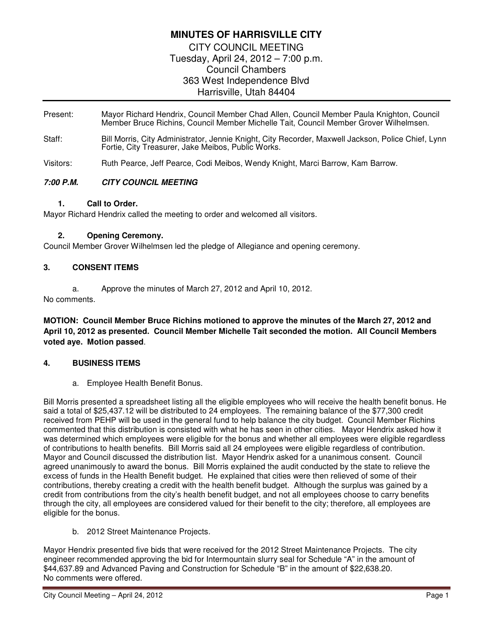# **MINUTES OF HARRISVILLE CITY**

CITY COUNCIL MEETING Tuesday, April 24, 2012 – 7:00 p.m. Council Chambers 363 West Independence Blvd Harrisville, Utah 84404

- Present: Mayor Richard Hendrix, Council Member Chad Allen, Council Member Paula Knighton, Council Member Bruce Richins, Council Member Michelle Tait, Council Member Grover Wilhelmsen.
- Staff: Bill Morris, City Administrator, Jennie Knight, City Recorder, Maxwell Jackson, Police Chief, Lynn Fortie, City Treasurer, Jake Meibos, Public Works.

Visitors: Ruth Pearce, Jeff Pearce, Codi Meibos, Wendy Knight, Marci Barrow, Kam Barrow.

# **7:00 P.M. CITY COUNCIL MEETING**

#### **1. Call to Order.**

Mayor Richard Hendrix called the meeting to order and welcomed all visitors.

### **2. Opening Ceremony.**

Council Member Grover Wilhelmsen led the pledge of Allegiance and opening ceremony.

### **3. CONSENT ITEMS**

a. Approve the minutes of March 27, 2012 and April 10, 2012.

No comments.

**MOTION: Council Member Bruce Richins motioned to approve the minutes of the March 27, 2012 and April 10, 2012 as presented. Council Member Michelle Tait seconded the motion. All Council Members voted aye. Motion passed**.

# **4. BUSINESS ITEMS**

a. Employee Health Benefit Bonus.

Bill Morris presented a spreadsheet listing all the eligible employees who will receive the health benefit bonus. He said a total of \$25,437.12 will be distributed to 24 employees. The remaining balance of the \$77,300 credit received from PEHP will be used in the general fund to help balance the city budget. Council Member Richins commented that this distribution is consisted with what he has seen in other cities. Mayor Hendrix asked how it was determined which employees were eligible for the bonus and whether all employees were eligible regardless of contributions to health benefits. Bill Morris said all 24 employees were eligible regardless of contribution. Mayor and Council discussed the distribution list. Mayor Hendrix asked for a unanimous consent. Council agreed unanimously to award the bonus. Bill Morris explained the audit conducted by the state to relieve the excess of funds in the Health Benefit budget. He explained that cities were then relieved of some of their contributions, thereby creating a credit with the health benefit budget. Although the surplus was gained by a credit from contributions from the city's health benefit budget, and not all employees choose to carry benefits through the city, all employees are considered valued for their benefit to the city; therefore, all employees are eligible for the bonus.

b. 2012 Street Maintenance Projects.

Mayor Hendrix presented five bids that were received for the 2012 Street Maintenance Projects. The city engineer recommended approving the bid for Intermountain slurry seal for Schedule "A" in the amount of \$44,637.89 and Advanced Paving and Construction for Schedule "B" in the amount of \$22,638.20. No comments were offered.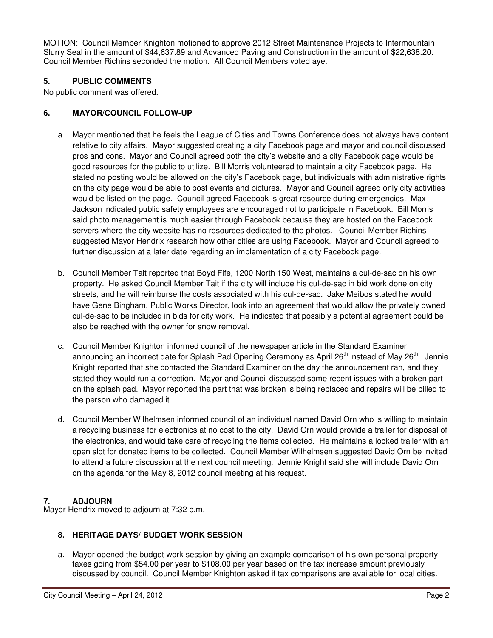MOTION: Council Member Knighton motioned to approve 2012 Street Maintenance Projects to Intermountain Slurry Seal in the amount of \$44,637.89 and Advanced Paving and Construction in the amount of \$22,638.20. Council Member Richins seconded the motion. All Council Members voted aye.

### **5. PUBLIC COMMENTS**

No public comment was offered.

### **6. MAYOR/COUNCIL FOLLOW-UP**

- a. Mayor mentioned that he feels the League of Cities and Towns Conference does not always have content relative to city affairs. Mayor suggested creating a city Facebook page and mayor and council discussed pros and cons. Mayor and Council agreed both the city's website and a city Facebook page would be good resources for the public to utilize. Bill Morris volunteered to maintain a city Facebook page. He stated no posting would be allowed on the city's Facebook page, but individuals with administrative rights on the city page would be able to post events and pictures. Mayor and Council agreed only city activities would be listed on the page. Council agreed Facebook is great resource during emergencies. Max Jackson indicated public safety employees are encouraged not to participate in Facebook. Bill Morris said photo management is much easier through Facebook because they are hosted on the Facebook servers where the city website has no resources dedicated to the photos. Council Member Richins suggested Mayor Hendrix research how other cities are using Facebook. Mayor and Council agreed to further discussion at a later date regarding an implementation of a city Facebook page.
- b. Council Member Tait reported that Boyd Fife, 1200 North 150 West, maintains a cul-de-sac on his own property. He asked Council Member Tait if the city will include his cul-de-sac in bid work done on city streets, and he will reimburse the costs associated with his cul-de-sac. Jake Meibos stated he would have Gene Bingham, Public Works Director, look into an agreement that would allow the privately owned cul-de-sac to be included in bids for city work. He indicated that possibly a potential agreement could be also be reached with the owner for snow removal.
- c. Council Member Knighton informed council of the newspaper article in the Standard Examiner announcing an incorrect date for Splash Pad Opening Ceremony as April 26<sup>th</sup> instead of May 26<sup>th</sup>. Jennie Knight reported that she contacted the Standard Examiner on the day the announcement ran, and they stated they would run a correction. Mayor and Council discussed some recent issues with a broken part on the splash pad. Mayor reported the part that was broken is being replaced and repairs will be billed to the person who damaged it.
- d. Council Member Wilhelmsen informed council of an individual named David Orn who is willing to maintain a recycling business for electronics at no cost to the city. David Orn would provide a trailer for disposal of the electronics, and would take care of recycling the items collected. He maintains a locked trailer with an open slot for donated items to be collected. Council Member Wilhelmsen suggested David Orn be invited to attend a future discussion at the next council meeting. Jennie Knight said she will include David Orn on the agenda for the May 8, 2012 council meeting at his request.

# **7. ADJOURN**

Mayor Hendrix moved to adjourn at 7:32 p.m.

#### **8. HERITAGE DAYS/ BUDGET WORK SESSION**

a. Mayor opened the budget work session by giving an example comparison of his own personal property taxes going from \$54.00 per year to \$108.00 per year based on the tax increase amount previously discussed by council. Council Member Knighton asked if tax comparisons are available for local cities.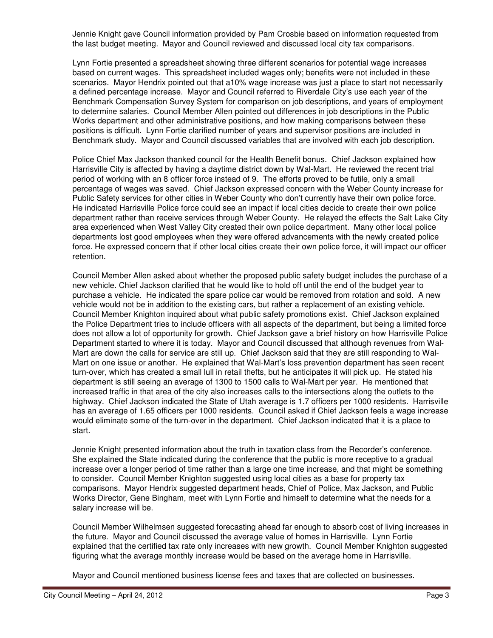Jennie Knight gave Council information provided by Pam Crosbie based on information requested from the last budget meeting. Mayor and Council reviewed and discussed local city tax comparisons.

Lynn Fortie presented a spreadsheet showing three different scenarios for potential wage increases based on current wages. This spreadsheet included wages only; benefits were not included in these scenarios. Mayor Hendrix pointed out that a10% wage increase was just a place to start not necessarily a defined percentage increase. Mayor and Council referred to Riverdale City's use each year of the Benchmark Compensation Survey System for comparison on job descriptions, and years of employment to determine salaries. Council Member Allen pointed out differences in job descriptions in the Public Works department and other administrative positions, and how making comparisons between these positions is difficult. Lynn Fortie clarified number of years and supervisor positions are included in Benchmark study. Mayor and Council discussed variables that are involved with each job description.

Police Chief Max Jackson thanked council for the Health Benefit bonus. Chief Jackson explained how Harrisville City is affected by having a daytime district down by Wal-Mart. He reviewed the recent trial period of working with an 8 officer force instead of 9. The efforts proved to be futile, only a small percentage of wages was saved. Chief Jackson expressed concern with the Weber County increase for Public Safety services for other cities in Weber County who don't currently have their own police force. He indicated Harrisville Police force could see an impact if local cities decide to create their own police department rather than receive services through Weber County. He relayed the effects the Salt Lake City area experienced when West Valley City created their own police department. Many other local police departments lost good employees when they were offered advancements with the newly created police force. He expressed concern that if other local cities create their own police force, it will impact our officer retention.

Council Member Allen asked about whether the proposed public safety budget includes the purchase of a new vehicle. Chief Jackson clarified that he would like to hold off until the end of the budget year to purchase a vehicle. He indicated the spare police car would be removed from rotation and sold. A new vehicle would not be in addition to the existing cars, but rather a replacement of an existing vehicle. Council Member Knighton inquired about what public safety promotions exist. Chief Jackson explained the Police Department tries to include officers with all aspects of the department, but being a limited force does not allow a lot of opportunity for growth. Chief Jackson gave a brief history on how Harrisville Police Department started to where it is today. Mayor and Council discussed that although revenues from Wal-Mart are down the calls for service are still up. Chief Jackson said that they are still responding to Wal-Mart on one issue or another. He explained that Wal-Mart's loss prevention department has seen recent turn-over, which has created a small lull in retail thefts, but he anticipates it will pick up. He stated his department is still seeing an average of 1300 to 1500 calls to Wal-Mart per year. He mentioned that increased traffic in that area of the city also increases calls to the intersections along the outlets to the highway. Chief Jackson indicated the State of Utah average is 1.7 officers per 1000 residents. Harrisville has an average of 1.65 officers per 1000 residents. Council asked if Chief Jackson feels a wage increase would eliminate some of the turn-over in the department. Chief Jackson indicated that it is a place to start.

Jennie Knight presented information about the truth in taxation class from the Recorder's conference. She explained the State indicated during the conference that the public is more receptive to a gradual increase over a longer period of time rather than a large one time increase, and that might be something to consider. Council Member Knighton suggested using local cities as a base for property tax comparisons. Mayor Hendrix suggested department heads, Chief of Police, Max Jackson, and Public Works Director, Gene Bingham, meet with Lynn Fortie and himself to determine what the needs for a salary increase will be.

Council Member Wilhelmsen suggested forecasting ahead far enough to absorb cost of living increases in the future. Mayor and Council discussed the average value of homes in Harrisville. Lynn Fortie explained that the certified tax rate only increases with new growth. Council Member Knighton suggested figuring what the average monthly increase would be based on the average home in Harrisville.

Mayor and Council mentioned business license fees and taxes that are collected on businesses.